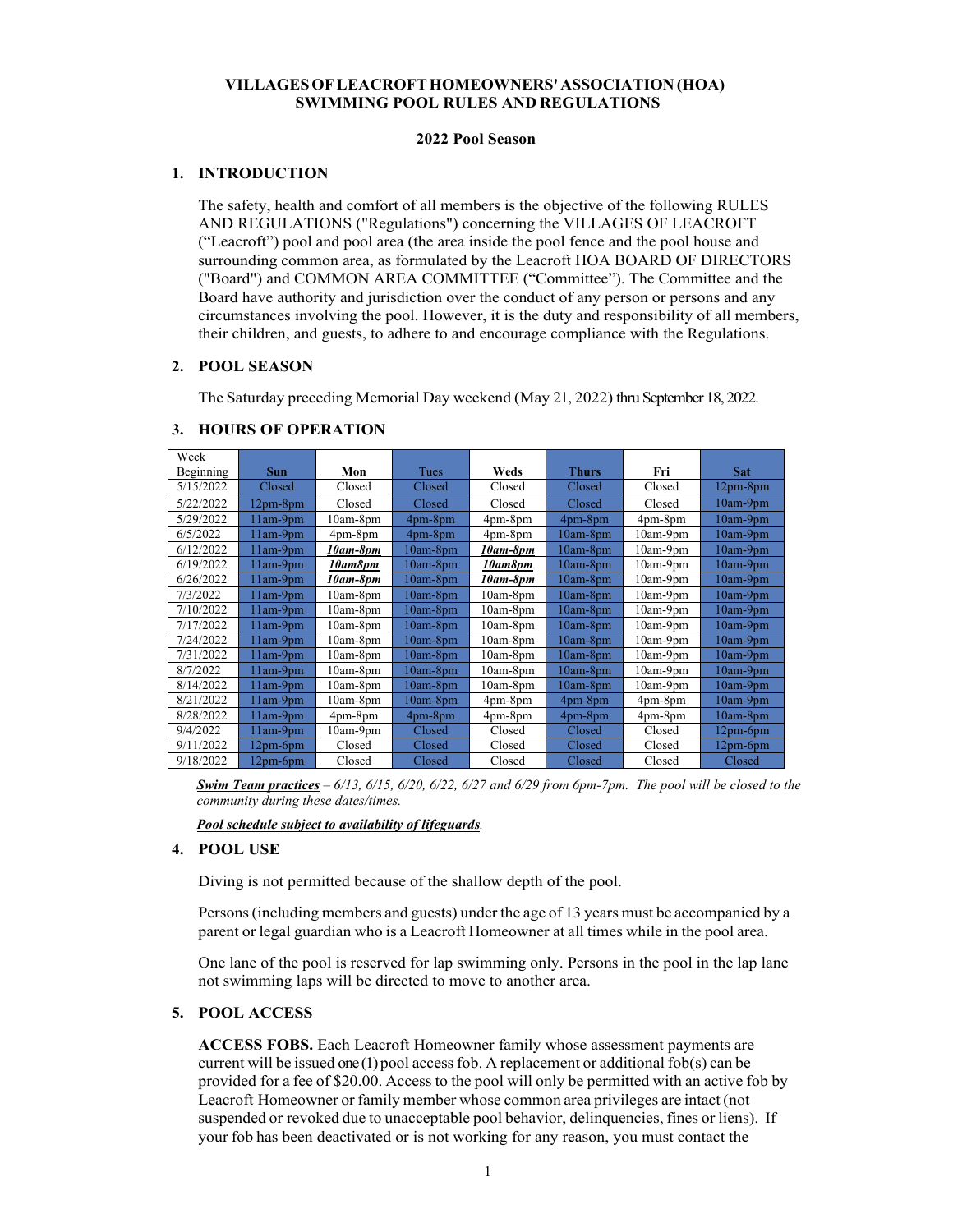# **VILLAGES OF LEACROFT HOMEOWNERS' ASSOCIATION (HOA) SWIMMING POOL RULES AND REGULATIONS**

#### **2022 Pool Season**

# **1. INTRODUCTION**

The safety, health and comfort of all members is the objective of the following RULES AND REGULATIONS ("Regulations") concerning the VILLAGES OF LEACROFT ("Leacroft") pool and pool area (the area inside the pool fence and the pool house and surrounding common area, as formulated by the Leacroft HOA BOARD OF DIRECTORS ("Board") and COMMON AREA COMMITTEE ("Committee"). The Committee and the Board have authority and jurisdiction over the conduct of any person or persons and any circumstances involving the pool. However, it is the duty and responsibility of all members, their children, and guests, to adhere to and encourage compliance with the Regulations.

#### **2. POOL SEASON**

The Saturday preceding Memorial Day weekend (May 21, 2022) thru September 18, 2022.

| Week      |            |               |             |               |              |            |            |
|-----------|------------|---------------|-------------|---------------|--------------|------------|------------|
| Beginning | <b>Sun</b> | Mon           | Tues        | Weds          | <b>Thurs</b> | Fri        | <b>Sat</b> |
| 5/15/2022 | Closed     | Closed        | Closed      | Closed        | Closed       | Closed     | $12pm-8pm$ |
| 5/22/2022 | $12pm-8pm$ | Closed        | Closed      | Closed        | Closed       | Closed     | $10am-9pm$ |
| 5/29/2022 | $11am-9pm$ | $10am-8pm$    | $4pm-8pm$   | $4pm-8pm$     | $4pm-8pm$    | 4pm-8pm    | 10am-9pm   |
| 6/5/2022  | $11am-9pm$ | 4pm-8pm       | $4pm - 8pm$ | $4pm-8pm$     | $10am-8pm$   | $10am-9pm$ | 10am-9pm   |
| 6/12/2022 | $11am-9pm$ | 10am-8pm      | $10am-8pm$  | 10am-8pm      | $10am-8pm$   | $10am-9pm$ | $10am-9pm$ |
| 6/19/2022 | $11am-9pm$ | 10am8pm       | $10am-8pm$  | 10am8pm       | $10am-8pm$   | $10am-9pm$ | $10am-9pm$ |
| 6/26/2022 | $11am-9pm$ | 10am-8pm      | $10am-8pm$  | 10am-8pm      | $10am-8pm$   | $10am-9pm$ | $10am-9pm$ |
| 7/3/2022  | $11am-9pm$ | $10am-8pm$    | $10am-8pm$  | $10am-8pm$    | $10am-8pm$   | $10am-9pm$ | 10am-9pm   |
| 7/10/2022 | $11am-9pm$ | $10am-8pm$    | $10am-8pm$  | $10am-8pm$    | $10am-8pm$   | $10am-9pm$ | $10am-9pm$ |
| 7/17/2022 | $11am-9pm$ | 10am-8pm      | $10am-8pm$  | $10am-8pm$    | $10am-8pm$   | $10am-9pm$ | $10am-9pm$ |
| 7/24/2022 | $11am-9pm$ | $10am-8pm$    | $10am-8pm$  | $10am-8pm$    | $10am-8pm$   | $10am-9pm$ | $10am-9pm$ |
| 7/31/2022 | $11am-9pm$ | $10am-8pm$    | $10am-8pm$  | $10am-8pm$    | $10am-8pm$   | $10am-9pm$ | $10am-9pm$ |
| 8/7/2022  | $11am-9pm$ | $10am-8pm$    | $10am-8pm$  | $10am-8pm$    | $10am-8pm$   | $10am-9pm$ | $10am-9pm$ |
| 8/14/2022 | $11am-9pm$ | $10am-8pm$    | $10am-8pm$  | $10am-8pm$    | $10am-8pm$   | $10am-9pm$ | $10am-9pm$ |
| 8/21/2022 | $11am-9pm$ | $10am-8pm$    | $10am-8pm$  | $4pm-8pm$     | 4pm-8pm      | $4pm-8pm$  | $10am-9pm$ |
| 8/28/2022 | $11am-9pm$ | $4pm$ -8 $pm$ | $4pm - 8pm$ | $4pm$ -8 $pm$ | 4pm-8pm      | 4pm-8pm    | $10am-8pm$ |
| 9/4/2022  | $11am-9pm$ | $10am-9pm$    | Closed      | Closed        | Closed       | Closed     | $12pm-6pm$ |
| 9/11/2022 | $12pm-6pm$ | Closed        | Closed      | Closed        | Closed       | Closed     | $12pm-6pm$ |
| 9/18/2022 | $12pm-6pm$ | Closed        | Closed      | Closed        | Closed       | Closed     | Closed     |

#### **3. HOURS OF OPERATION**

*Swim Team practices – 6/13, 6/15, 6/20, 6/22, 6/27 and 6/29 from 6pm-7pm. The pool will be closed to the community during these dates/times.* 

*Pool schedule subject to availability of lifeguards.* 

#### **4. POOL USE**

Diving is not permitted because of the shallow depth of the pool.

Persons (including members and guests) under the age of 13 years must be accompanied by a parent or legal guardian who is a Leacroft Homeowner at all times while in the pool area.

One lane of the pool is reserved for lap swimming only. Persons in the pool in the lap lane not swimming laps will be directed to move to another area.

#### **5. POOL ACCESS**

**ACCESS FOBS.** Each Leacroft Homeowner family whose assessment payments are current will be issued one (1) pool access fob. A replacement or additional fob(s) can be provided for a fee of \$20.00. Access to the pool will only be permitted with an active fob by Leacroft Homeowner or family member whose common area privileges are intact (not suspended or revoked due to unacceptable pool behavior, delinquencies, fines or liens). If your fob has been deactivated or is not working for any reason, you must contact the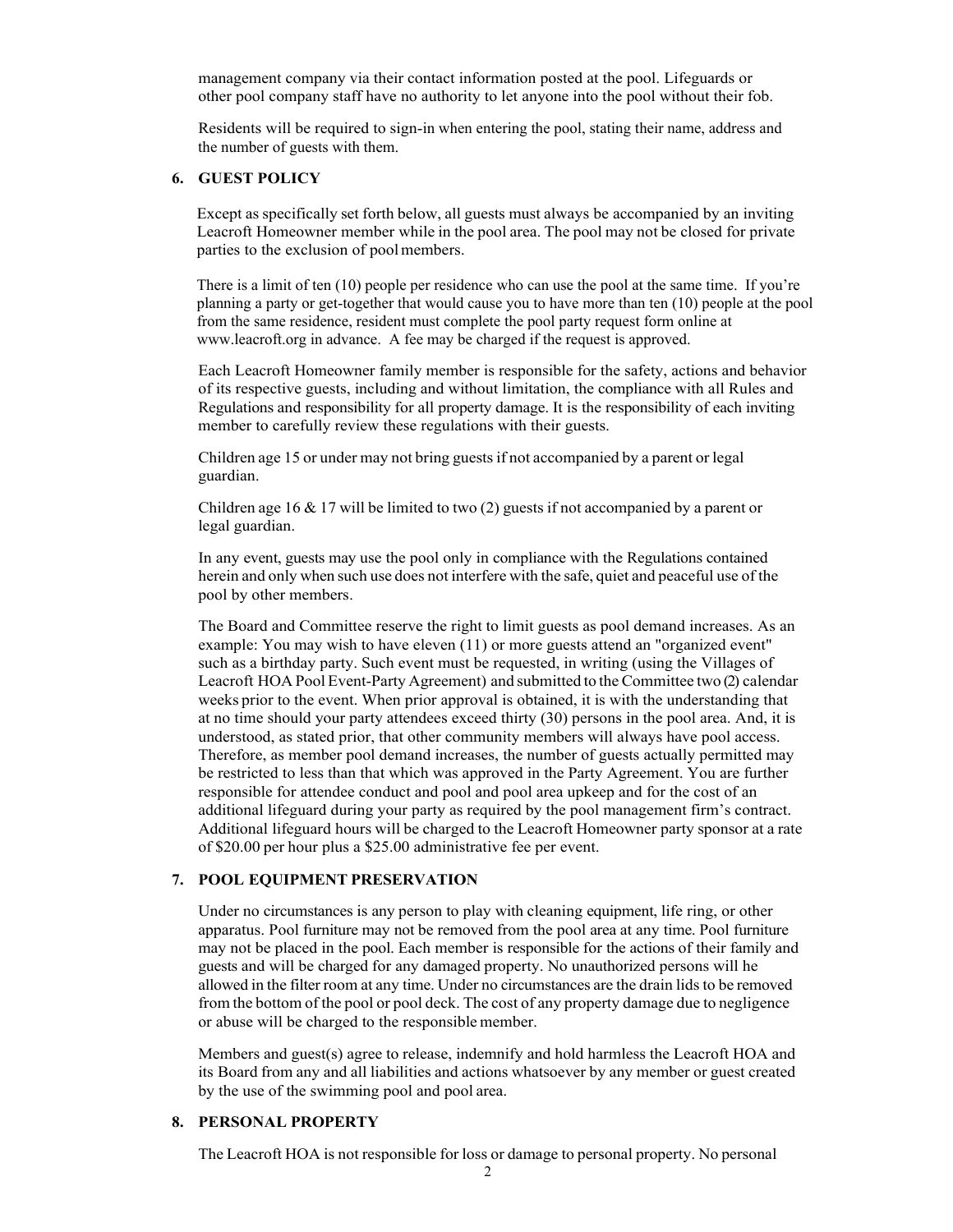management company via their contact information posted at the pool. Lifeguards or other pool company staff have no authority to let anyone into the pool without their fob.

Residents will be required to sign-in when entering the pool, stating their name, address and the number of guests with them.

### **6. GUEST POLICY**

Except as specifically set forth below, all guests must always be accompanied by an inviting Leacroft Homeowner member while in the pool area. The pool may not be closed for private parties to the exclusion of pool members.

There is a limit of ten (10) people per residence who can use the pool at the same time. If you're planning a party or get-together that would cause you to have more than ten (10) people at the pool from the same residence, resident must complete the pool party request form online at www.leacroft.org in advance. A fee may be charged if the request is approved.

Each Leacroft Homeowner family member is responsible for the safety, actions and behavior of its respective guests, including and without limitation, the compliance with all Rules and Regulations and responsibility for all property damage. It is the responsibility of each inviting member to carefully review these regulations with their guests.

Children age 15 or under may not bring guests if not accompanied by a parent or legal guardian.

Children age 16 & 17 will be limited to two (2) guests if not accompanied by a parent or legal guardian.

In any event, guests may use the pool only in compliance with the Regulations contained herein and only when such use does not interfere with the safe, quiet and peaceful use of the pool by other members.

The Board and Committee reserve the right to limit guests as pool demand increases. As an example: You may wish to have eleven (11) or more guests attend an "organized event" such as a birthday party. Such event must be requested, in writing (using the Villages of Leacroft HOA Pool Event-Party Agreement) and submitted to the Committee two (2) calendar weeks prior to the event. When prior approval is obtained, it is with the understanding that at no time should your party attendees exceed thirty (30) persons in the pool area. And, it is understood, as stated prior, that other community members will always have pool access. Therefore, as member pool demand increases, the number of guests actually permitted may be restricted to less than that which was approved in the Party Agreement. You are further responsible for attendee conduct and pool and pool area upkeep and for the cost of an additional lifeguard during your party as required by the pool management firm's contract. Additional lifeguard hours will be charged to the Leacroft Homeowner party sponsor at a rate of \$20.00 per hour plus a \$25.00 administrative fee per event.

#### **7. POOL EQUIPMENT PRESERVATION**

Under no circumstances is any person to play with cleaning equipment, life ring, or other apparatus. Pool furniture may not be removed from the pool area at any time. Pool furniture may not be placed in the pool. Each member is responsible for the actions of their family and guests and will be charged for any damaged property. No unauthorized persons will he allowed in the filter room at any time. Under no circumstances are the drain lids to be removed from the bottom of the pool or pool deck. The cost of any property damage due to negligence or abuse will be charged to the responsible member.

Members and guest(s) agree to release, indemnify and hold harmless the Leacroft HOA and its Board from any and all liabilities and actions whatsoever by any member or guest created by the use of the swimming pool and pool area.

### **8. PERSONAL PROPERTY**

The Leacroft HOA is not responsible for loss or damage to personal property. No personal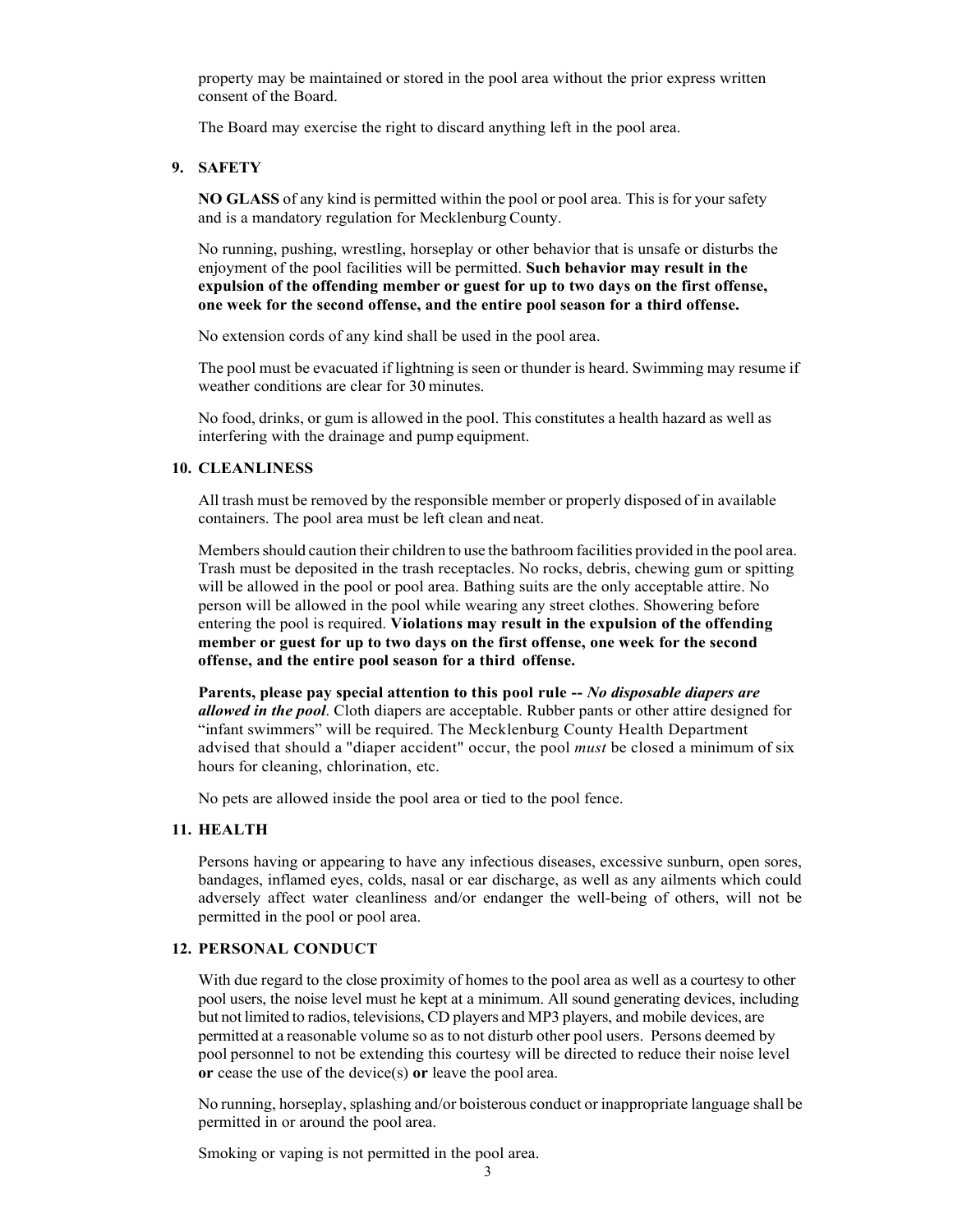property may be maintained or stored in the pool area without the prior express written consent of the Board.

The Board may exercise the right to discard anything left in the pool area.

#### **9. SAFETY**

**NO GLASS** of any kind is permitted within the pool or pool area. This is for your safety and is a mandatory regulation for Mecklenburg County.

No running, pushing, wrestling, horseplay or other behavior that is unsafe or disturbs the enjoyment of the pool facilities will be permitted. **Such behavior may result in the expulsion of the offending member or guest for up to two days on the first offense, one week for the second offense, and the entire pool season for a third offense.**

No extension cords of any kind shall be used in the pool area.

The pool must be evacuated if lightning is seen or thunder is heard. Swimming may resume if weather conditions are clear for 30 minutes.

No food, drinks, or gum is allowed in the pool. This constitutes a health hazard as well as interfering with the drainage and pump equipment.

#### **10. CLEANLINESS**

All trash must be removed by the responsible member or properly disposed of in available containers. The pool area must be left clean and neat.

Members should caution their children to use the bathroom facilities provided in the pool area. Trash must be deposited in the trash receptacles. No rocks, debris, chewing gum or spitting will be allowed in the pool or pool area. Bathing suits are the only acceptable attire. No person will be allowed in the pool while wearing any street clothes. Showering before entering the pool is required. **Violations may result in the expulsion of the offending member or guest for up to two days on the first offense, one week for the second offense, and the entire pool season for a third offense.**

**Parents, please pay special attention to this pool rule --** *No disposable diapers are allowed in the pool*. Cloth diapers are acceptable. Rubber pants or other attire designed for "infant swimmers" will be required. The Mecklenburg County Health Department advised that should a "diaper accident" occur, the pool *must* be closed a minimum of six hours for cleaning, chlorination, etc.

No pets are allowed inside the pool area or tied to the pool fence.

# **11. HEALTH**

Persons having or appearing to have any infectious diseases, excessive sunburn, open sores, bandages, inflamed eyes, colds, nasal or ear discharge, as well as any ailments which could adversely affect water cleanliness and/or endanger the well-being of others, will not be permitted in the pool or pool area.

# **12. PERSONAL CONDUCT**

With due regard to the close proximity of homes to the pool area as well as a courtesy to other pool users, the noise level must he kept at a minimum. All sound generating devices, including but not limited to radios, televisions, CD players and MP3 players, and mobile devices, are permitted at a reasonable volume so as to not disturb other pool users. Persons deemed by pool personnel to not be extending this courtesy will be directed to reduce their noise level **or** cease the use of the device(s) **or** leave the pool area.

No running, horseplay, splashing and/or boisterous conduct or inappropriate language shall be permitted in or around the pool area.

Smoking or vaping is not permitted in the pool area.